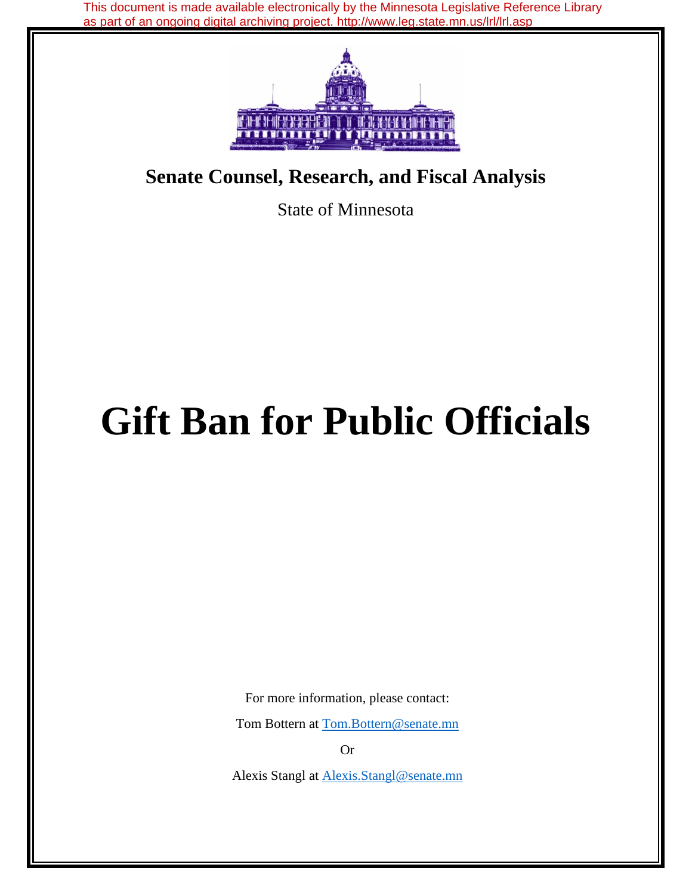This document is made available electronically by the Minnesota Legislative Reference Library as part of an ongoing digital archiving project. http://www.leg.state.mn.us/lrl/lrl.asp



# **Senate Counsel, Research, and Fiscal Analysis**

State of Minnesota

# **Gift Ban for Public Officials**

For more information, please contact:

Tom Bottern at Tom.Bottern@senate.mn

Or

Alexis Stangl at Alexis.Stangl@senate.mn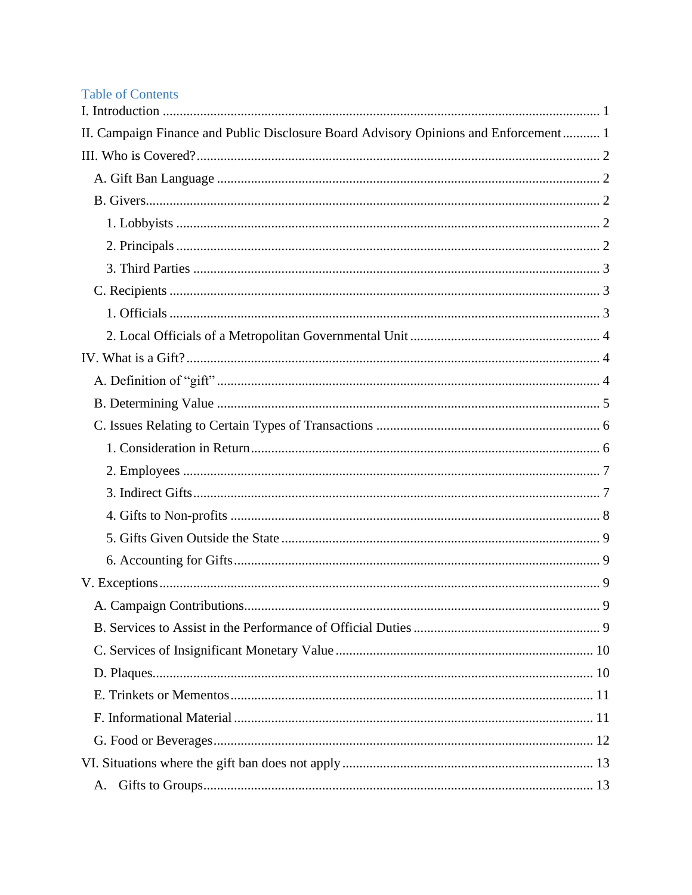# **Table of Contents**

| II. Campaign Finance and Public Disclosure Board Advisory Opinions and Enforcement 1 |
|--------------------------------------------------------------------------------------|
|                                                                                      |
|                                                                                      |
|                                                                                      |
|                                                                                      |
|                                                                                      |
|                                                                                      |
|                                                                                      |
|                                                                                      |
|                                                                                      |
|                                                                                      |
|                                                                                      |
|                                                                                      |
|                                                                                      |
|                                                                                      |
|                                                                                      |
|                                                                                      |
|                                                                                      |
|                                                                                      |
|                                                                                      |
|                                                                                      |
|                                                                                      |
|                                                                                      |
|                                                                                      |
|                                                                                      |
|                                                                                      |
|                                                                                      |
|                                                                                      |
|                                                                                      |
| A.                                                                                   |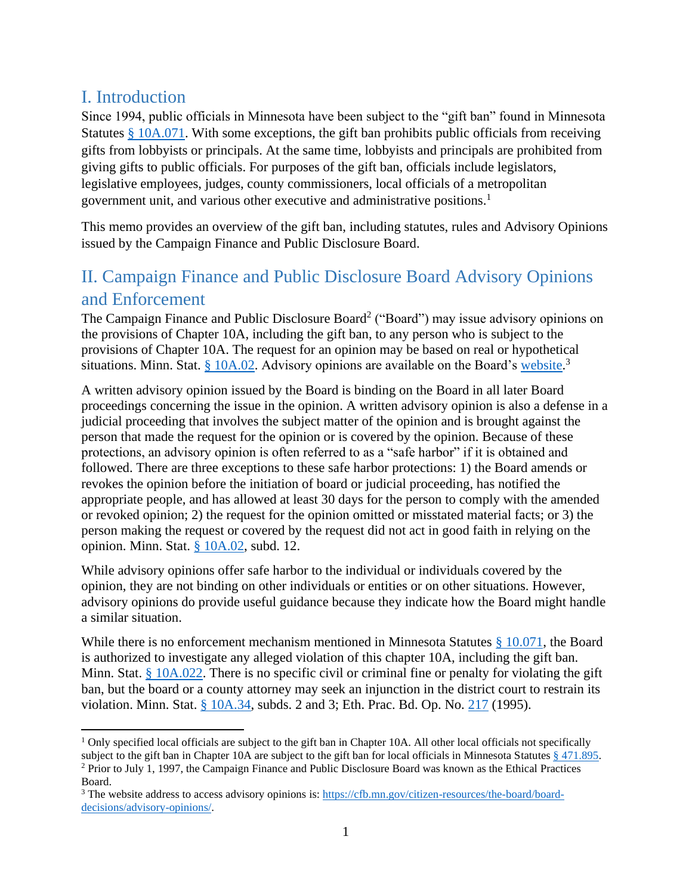# <span id="page-3-0"></span>I. Introduction

Since 1994, public officials in Minnesota have been subject to the "gift ban" found in Minnesota Statutes [§ 10A.071.](https://www.revisor.mn.gov/statutes/cite/10A.071) With some exceptions, the gift ban prohibits public officials from receiving gifts from lobbyists or principals. At the same time, lobbyists and principals are prohibited from giving gifts to public officials. For purposes of the gift ban, officials include legislators, legislative employees, judges, county commissioners, local officials of a metropolitan government unit, and various other executive and administrative positions.<sup>1</sup>

This memo provides an overview of the gift ban, including statutes, rules and Advisory Opinions issued by the Campaign Finance and Public Disclosure Board.

# <span id="page-3-1"></span>II. Campaign Finance and Public Disclosure Board Advisory Opinions and Enforcement

The Campaign Finance and Public Disclosure Board<sup>2</sup> ("Board") may issue advisory opinions on the provisions of Chapter 10A, including the gift ban, to any person who is subject to the provisions of Chapter 10A. The request for an opinion may be based on real or hypothetical situations. Minn. Stat. [§ 10A.02.](https://www.revisor.mn.gov/statutes/cite/10A.02) Advisory opinions are available on the Board's [website.](https://cfb.mn.gov/citizen-resources/the-board/board-decisions/advisory-opinions/)<sup>3</sup>

A written advisory opinion issued by the Board is binding on the Board in all later Board proceedings concerning the issue in the opinion. A written advisory opinion is also a defense in a judicial proceeding that involves the subject matter of the opinion and is brought against the person that made the request for the opinion or is covered by the opinion. Because of these protections, an advisory opinion is often referred to as a "safe harbor" if it is obtained and followed. There are three exceptions to these safe harbor protections: 1) the Board amends or revokes the opinion before the initiation of board or judicial proceeding, has notified the appropriate people, and has allowed at least 30 days for the person to comply with the amended or revoked opinion; 2) the request for the opinion omitted or misstated material facts; or 3) the person making the request or covered by the request did not act in good faith in relying on the opinion. Minn. Stat. [§ 10A.02,](https://www.revisor.mn.gov/statutes/cite/10A.02) subd. 12.

While advisory opinions offer safe harbor to the individual or individuals covered by the opinion, they are not binding on other individuals or entities or on other situations. However, advisory opinions do provide useful guidance because they indicate how the Board might handle a similar situation.

While there is no enforcement mechanism mentioned in Minnesota Statutes  $\S$  10.071, the Board is authorized to investigate any alleged violation of this chapter 10A, including the gift ban. Minn. Stat. [§ 10A.022.](https://www.revisor.mn.gov/statutes/cite/10A.022) There is no specific civil or criminal fine or penalty for violating the gift ban, but the board or a county attorney may seek an injunction in the district court to restrain its violation. Minn. Stat. [§ 10A.34,](https://www.revisor.mn.gov/statutes/cite/10A.34) subds. 2 and 3; Eth. Prac. Bd. Op. No. [217](https://cfb.mn.gov/pdf/advisory_opinions/AO217.pdf?t=1597421088) (1995).

<sup>&</sup>lt;sup>1</sup> Only specified local officials are subject to the gift ban in Chapter 10A. All other local officials not specifically subject to the gift ban in Chapter 10A are subject to the gift ban for local officials in Minnesota Statutes  $\S 471.895$ . <sup>2</sup> Prior to July 1, 1997, the Campaign Finance and Public Disclosure Board was known as the Ethical Practices Board.

<sup>3</sup> The website address to access advisory opinions is[: https://cfb.mn.gov/citizen-resources/the-board/board](https://cfb.mn.gov/citizen-resources/the-board/board-decisions/advisory-opinions/)[decisions/advisory-opinions/.](https://cfb.mn.gov/citizen-resources/the-board/board-decisions/advisory-opinions/)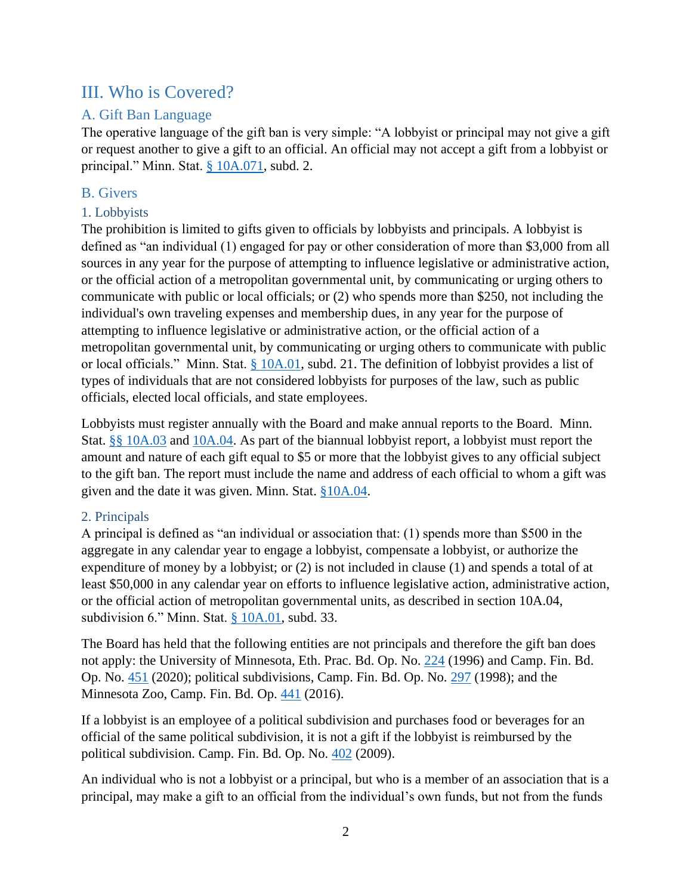# <span id="page-4-0"></span>III. Who is Covered?

# <span id="page-4-1"></span>A. Gift Ban Language

The operative language of the gift ban is very simple: "A lobbyist or principal may not give a gift or request another to give a gift to an official. An official may not accept a gift from a lobbyist or principal." Minn. Stat. [§ 10A.071,](https://www.revisor.mn.gov/statutes/cite/10A.071) subd. 2.

# <span id="page-4-2"></span>B. Givers

# <span id="page-4-3"></span>1. Lobbyists

The prohibition is limited to gifts given to officials by lobbyists and principals. A lobbyist is defined as "an individual (1) engaged for pay or other consideration of more than \$3,000 from all sources in any year for the purpose of attempting to influence legislative or administrative action, or the official action of a metropolitan governmental unit, by communicating or urging others to communicate with public or local officials; or (2) who spends more than \$250, not including the individual's own traveling expenses and membership dues, in any year for the purpose of attempting to influence legislative or administrative action, or the official action of a metropolitan governmental unit, by communicating or urging others to communicate with public or local officials." Minn. Stat. [§ 10A.01,](https://www.revisor.mn.gov/statutes/cite/10A.01) subd. 21. The definition of lobbyist provides a list of types of individuals that are not considered lobbyists for purposes of the law, such as public officials, elected local officials, and state employees.

Lobbyists must register annually with the Board and make annual reports to the Board. Minn. Stat. [§§ 10A.03](https://www.revisor.mn.gov/statutes/cite/10A.03) and [10A.04.](https://www.revisor.mn.gov/statutes/cite/10A.04) As part of the biannual lobbyist report, a lobbyist must report the amount and nature of each gift equal to \$5 or more that the lobbyist gives to any official subject to the gift ban. The report must include the name and address of each official to whom a gift was given and the date it was given. Minn. Stat. [§10A.04.](https://www.revisor.mn.gov/statutes/cite/10A.04)

# <span id="page-4-4"></span>2. Principals

A principal is defined as "an individual or association that: (1) spends more than \$500 in the aggregate in any calendar year to engage a lobbyist, compensate a lobbyist, or authorize the expenditure of money by a lobbyist; or (2) is not included in clause (1) and spends a total of at least \$50,000 in any calendar year on efforts to influence legislative action, administrative action, or the official action of metropolitan governmental units, as described in section 10A.04, subdivision 6." Minn. Stat. [§ 10A.01,](https://www.revisor.mn.gov/statutes/cite/10A.01) subd. 33.

The Board has held that the following entities are not principals and therefore the gift ban does not apply: the University of Minnesota, Eth. Prac. Bd. Op. No. [224](https://cfb.mn.gov/pdf/advisory_opinions/AO224.pdf?t=1597421124) (1996) and Camp. Fin. Bd. Op. No. [451](https://cfb.mn.gov/pdf/advisory_opinions/AO451.pdf?t=1597421141) (2020); political subdivisions, Camp. Fin. Bd. Op. No. [297](https://cfb.mn.gov/pdf/advisory_opinions/AO297.pdf?t=1597421157) (1998); and the Minnesota Zoo, Camp. Fin. Bd. Op. [441](https://cfb.mn.gov/pdf/advisory_opinions/AO441.pdf?t=1597421174) (2016).

If a lobbyist is an employee of a political subdivision and purchases food or beverages for an official of the same political subdivision, it is not a gift if the lobbyist is reimbursed by the political subdivision. Camp. Fin. Bd. Op. No. [402](https://cfb.mn.gov/pdf/advisory_opinions/AO402.pdf?t=1597421195) (2009).

An individual who is not a lobbyist or a principal, but who is a member of an association that is a principal, may make a gift to an official from the individual's own funds, but not from the funds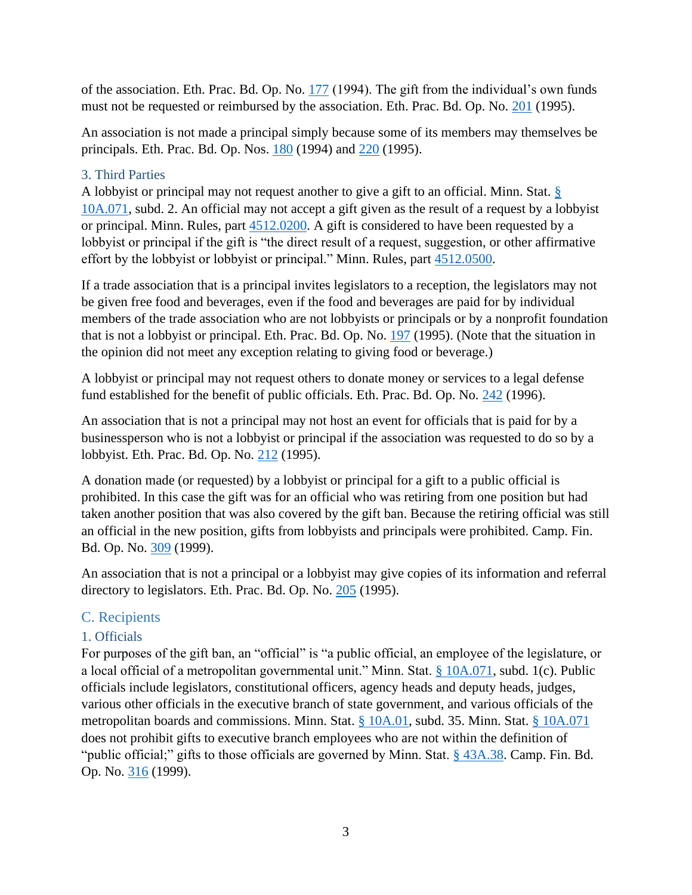of the association. Eth. Prac. Bd. Op. No. [177](https://cfb.mn.gov/pdf/advisory_opinions/AO177.pdf?t=1597698548) (1994). The gift from the individual's own funds must not be requested or reimbursed by the association. Eth. Prac. Bd. Op. No. [201](https://cfb.mn.gov/pdf/advisory_opinions/AO201.pdf?t=1597698571) (1995).

An association is not made a principal simply because some of its members may themselves be principals. Eth. Prac. Bd. Op. Nos. [180](https://cfb.mn.gov/pdf/advisory_opinions/AO180.pdf?t=1597698587) (1994) and [220](https://cfb.mn.gov/pdf/advisory_opinions/AO220.pdf?t=1597698601) (1995).

#### <span id="page-5-0"></span>3. Third Parties

A lobbyist or principal may not request another to give a gift to an official. Minn. Stat. [§](https://www.revisor.mn.gov/statutes/cite/10A.071)  [10A.071,](https://www.revisor.mn.gov/statutes/cite/10A.071) subd. 2. An official may not accept a gift given as the result of a request by a lobbyist or principal. Minn. Rules, part [4512.0200.](https://www.revisor.mn.gov/rules/4512.0200/) A gift is considered to have been requested by a lobbyist or principal if the gift is "the direct result of a request, suggestion, or other affirmative effort by the lobbyist or lobbyist or principal." Minn. Rules, part [4512.0500.](https://www.revisor.mn.gov/rules/4512.0500/)

If a trade association that is a principal invites legislators to a reception, the legislators may not be given free food and beverages, even if the food and beverages are paid for by individual members of the trade association who are not lobbyists or principals or by a nonprofit foundation that is not a lobbyist or principal. Eth. Prac. Bd. Op. No. [197](https://cfb.mn.gov/pdf/advisory_opinions/AO197.pdf?t=1597698619) (1995). (Note that the situation in the opinion did not meet any exception relating to giving food or beverage.)

A lobbyist or principal may not request others to donate money or services to a legal defense fund established for the benefit of public officials. Eth. Prac. Bd. Op. No. [242](https://cfb.mn.gov/pdf/advisory_opinions/AO242.pdf?t=1597698634) (1996).

An association that is not a principal may not host an event for officials that is paid for by a businessperson who is not a lobbyist or principal if the association was requested to do so by a lobbyist. Eth. Prac. Bd. Op. No. [212](https://cfb.mn.gov/pdf/advisory_opinions/AO212.pdf?t=1597698647) (1995).

A donation made (or requested) by a lobbyist or principal for a gift to a public official is prohibited. In this case the gift was for an official who was retiring from one position but had taken another position that was also covered by the gift ban. Because the retiring official was still an official in the new position, gifts from lobbyists and principals were prohibited. Camp. Fin. Bd. Op. No. [309](https://cfb.mn.gov/pdf/advisory_opinions/AO309.pdf?t=1597676547) (1999).

An association that is not a principal or a lobbyist may give copies of its information and referral directory to legislators. Eth. Prac. Bd. Op. No. [205](https://cfb.mn.gov/pdf/advisory_opinions/AO205.pdf?t=1597698668) (1995).

# <span id="page-5-1"></span>C. Recipients

# <span id="page-5-2"></span>1. Officials

For purposes of the gift ban, an "official" is "a public official, an employee of the legislature, or a local official of a metropolitan governmental unit." Minn. Stat. [§ 10A.071,](https://www.revisor.mn.gov/statutes/cite/10A.071) subd. 1(c). Public officials include legislators, constitutional officers, agency heads and deputy heads, judges, various other officials in the executive branch of state government, and various officials of the metropolitan boards and commissions. Minn. Stat. [§ 10A.01,](https://www.revisor.mn.gov/statutes/cite/10A.01) subd. 35. Minn. Stat. § [10A.071](https://www.revisor.mn.gov/statutes/cite/10A.071) does not prohibit gifts to executive branch employees who are not within the definition of "public official;" gifts to those officials are governed by Minn. Stat. [§ 43A.38.](https://www.revisor.mn.gov/statutes/cite/43A.38) Camp. Fin. Bd. Op. No. [316](https://cfb.mn.gov/pdf/advisory_opinions/AO316.pdf?t=1597698691) (1999).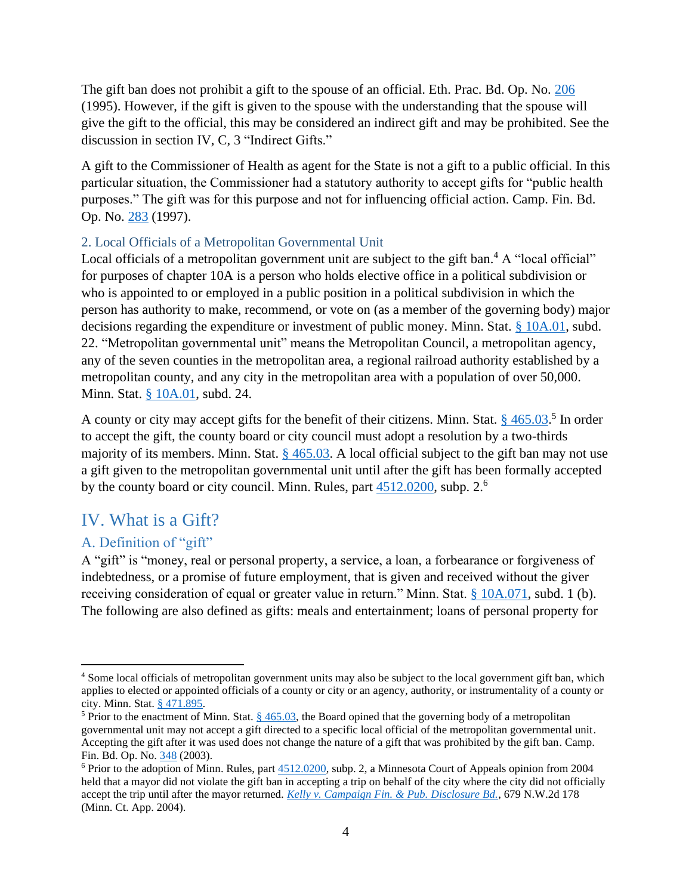The gift ban does not prohibit a gift to the spouse of an official. Eth. Prac. Bd. Op. No. [206](https://cfb.mn.gov/pdf/advisory_opinions/AO206.pdf?t=1597698708) (1995). However, if the gift is given to the spouse with the understanding that the spouse will give the gift to the official, this may be considered an indirect gift and may be prohibited. See the discussion in section IV, C, 3 "Indirect Gifts."

A gift to the Commissioner of Health as agent for the State is not a gift to a public official. In this particular situation, the Commissioner had a statutory authority to accept gifts for "public health purposes." The gift was for this purpose and not for influencing official action. Camp. Fin. Bd. Op. No. [283](https://cfb.mn.gov/pdf/advisory_opinions/AO283.pdf?t=1597698723) (1997).

#### <span id="page-6-0"></span>2. Local Officials of a Metropolitan Governmental Unit

Local officials of a metropolitan government unit are subject to the gift ban.<sup>4</sup> A "local official" for purposes of chapter 10A is a person who holds elective office in a political subdivision or who is appointed to or employed in a public position in a political subdivision in which the person has authority to make, recommend, or vote on (as a member of the governing body) major decisions regarding the expenditure or investment of public money. Minn. Stat. [§ 10A.01,](https://www.revisor.mn.gov/statutes/cite/10A.01) subd. 22. "Metropolitan governmental unit" means the Metropolitan Council, a metropolitan agency, any of the seven counties in the metropolitan area, a regional railroad authority established by a metropolitan county, and any city in the metropolitan area with a population of over 50,000. Minn. Stat. [§ 10A.01,](https://www.revisor.mn.gov/statutes/cite/10A.01) subd. 24.

A county or city may accept gifts for the benefit of their citizens. Minn. Stat. § [465.03.](https://www.revisor.mn.gov/statutes/cite/465.03)<sup>5</sup> In order to accept the gift, the county board or city council must adopt a resolution by a two-thirds majority of its members. Minn. Stat.  $\S$  [465.03.](https://www.revisor.mn.gov/statutes/cite/465.03) A local official subject to the gift ban may not use a gift given to the metropolitan governmental unit until after the gift has been formally accepted by the county board or city council. Minn. Rules, part  $4512.0200$ , subp. 2.<sup>6</sup>

# <span id="page-6-1"></span>IV. What is a Gift?

# <span id="page-6-2"></span>A. Definition of "gift"

A "gift" is "money, real or personal property, a service, a loan, a forbearance or forgiveness of indebtedness, or a promise of future employment, that is given and received without the giver receiving consideration of equal or greater value in return." Minn. Stat. [§ 10A.071,](https://www.revisor.mn.gov/statutes/cite/10A.071) subd. 1 (b). The following are also defined as gifts: meals and entertainment; loans of personal property for

<sup>&</sup>lt;sup>4</sup> Some local officials of metropolitan government units may also be subject to the local government gift ban, which applies to elected or appointed officials of a county or city or an agency, authority, or instrumentality of a county or city. Minn. Stat. [§ 471.895.](https://www.revisor.mn.gov/statutes/cite/471.895)

<sup>&</sup>lt;sup>5</sup> Prior to the enactment of Minn. Stat.  $\S$  465.03, the Board opined that the governing body of a metropolitan governmental unit may not accept a gift directed to a specific local official of the metropolitan governmental unit. Accepting the gift after it was used does not change the nature of a gift that was prohibited by the gift ban. Camp. Fin. Bd. Op. No. [348](https://cfb.mn.gov/pdf/advisory_opinions/AO348.pdf?t=1603392359) (2003).

 $6$  Prior to the adoption of Minn. Rules, part  $4512.0200$ , subp. 2, a Minnesota Court of Appeals opinion from 2004 held that a mayor did not violate the gift ban in accepting a trip on behalf of the city where the city did not officially accept the trip until after the mayor returned. *[Kelly v. Campaign Fin. & Pub. Disclosure Bd.](https://scholar.google.com/scholar_case?case=1368993844802276767&q=679+N.W.2d+178&hl=en&as_sdt=6,24)*, 679 N.W.2d 178 (Minn. Ct. App. 2004).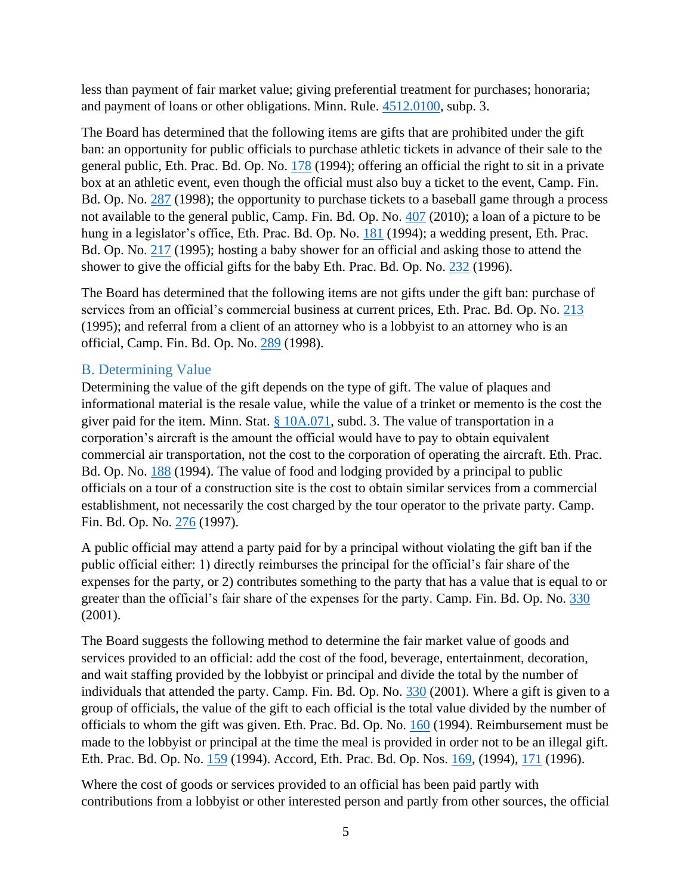less than payment of fair market value; giving preferential treatment for purchases; honoraria; and payment of loans or other obligations. Minn. Rule. [4512.0100,](https://www.revisor.mn.gov/rules/4512.0100/) subp. 3.

The Board has determined that the following items are gifts that are prohibited under the gift ban: an opportunity for public officials to purchase athletic tickets in advance of their sale to the general public, Eth. Prac. Bd. Op. No. [178](https://cfb.mn.gov/pdf/advisory_opinions/AO178.pdf?t=1599680560) (1994); offering an official the right to sit in a private box at an athletic event, even though the official must also buy a ticket to the event, Camp. Fin. Bd. Op. No. [287](https://cfb.mn.gov/pdf/advisory_opinions/AO287.pdf?t=1599680560) (1998); the opportunity to purchase tickets to a baseball game through a process not available to the general public, Camp. Fin. Bd. Op. No. [407](https://cfb.mn.gov/pdf/advisory_opinions/AO407.pdf?t=1599680560) (2010); a loan of a picture to be hung in a legislator's office, Eth. Prac. Bd. Op. No. [181](https://cfb.mn.gov/pdf/advisory_opinions/AO181.pdf?t=1599680560) (1994); a wedding present, Eth. Prac. Bd. Op. No. [217](https://cfb.mn.gov/pdf/advisory_opinions/AO217.pdf?t=1599680560) (1995); hosting a baby shower for an official and asking those to attend the shower to give the official gifts for the baby Eth. Prac. Bd. Op. No. [232](https://cfb.mn.gov/pdf/advisory_opinions/AO232.pdf?t=1599680560) (1996).

The Board has determined that the following items are not gifts under the gift ban: purchase of services from an official's commercial business at current prices, Eth. Prac. Bd. Op. No. [213](https://cfb.mn.gov/pdf/advisory_opinions/AO213.pdf?t=1599680560) (1995); and referral from a client of an attorney who is a lobbyist to an attorney who is an official, Camp. Fin. Bd. Op. No. [289](https://cfb.mn.gov/pdf/advisory_opinions/AO289.pdf?t=1599680560) (1998).

# <span id="page-7-0"></span>B. Determining Value

Determining the value of the gift depends on the type of gift. The value of plaques and informational material is the resale value, while the value of a trinket or memento is the cost the giver paid for the item. Minn. Stat.  $\S$  10A.071, subd. 3. The value of transportation in a corporation's aircraft is the amount the official would have to pay to obtain equivalent commercial air transportation, not the cost to the corporation of operating the aircraft. Eth. Prac. Bd. Op. No. [188](https://cfb.mn.gov/pdf/advisory_opinions/AO188.pdf?t=1599680560) (1994). The value of food and lodging provided by a principal to public officials on a tour of a construction site is the cost to obtain similar services from a commercial establishment, not necessarily the cost charged by the tour operator to the private party. Camp. Fin. Bd. Op. No. [276](https://cfb.mn.gov/pdf/advisory_opinions/AO276.pdf?t=1599680560) (1997).

A public official may attend a party paid for by a principal without violating the gift ban if the public official either: 1) directly reimburses the principal for the official's fair share of the expenses for the party, or 2) contributes something to the party that has a value that is equal to or greater than the official's fair share of the expenses for the party. Camp. Fin. Bd. Op. No. [330](https://cfb.mn.gov/pdf/advisory_opinions/AO330.pdf?t=1599680560) (2001).

The Board suggests the following method to determine the fair market value of goods and services provided to an official: add the cost of the food, beverage, entertainment, decoration, and wait staffing provided by the lobbyist or principal and divide the total by the number of individuals that attended the party. Camp. Fin. Bd. Op. No. [330](https://cfb.mn.gov/pdf/advisory_opinions/AO330.pdf?t=1599680560) (2001). Where a gift is given to a group of officials, the value of the gift to each official is the total value divided by the number of officials to whom the gift was given. Eth. Prac. Bd. Op. No. [160](https://cfb.mn.gov/pdf/advisory_opinions/AO160.pdf?t=1599680560) (1994). Reimbursement must be made to the lobbyist or principal at the time the meal is provided in order not to be an illegal gift. Eth. Prac. Bd. Op. No. [159](https://cfb.mn.gov/pdf/advisory_opinions/AO159.pdf?t=1599680560) (1994). Accord, Eth. Prac. Bd. Op. Nos. [169,](https://cfb.mn.gov/pdf/advisory_opinions/AO169.pdf?t=1599680560) (1994), [171](https://cfb.mn.gov/pdf/advisory_opinions/AO171.pdf?t=1599680560) (1996).

Where the cost of goods or services provided to an official has been paid partly with contributions from a lobbyist or other interested person and partly from other sources, the official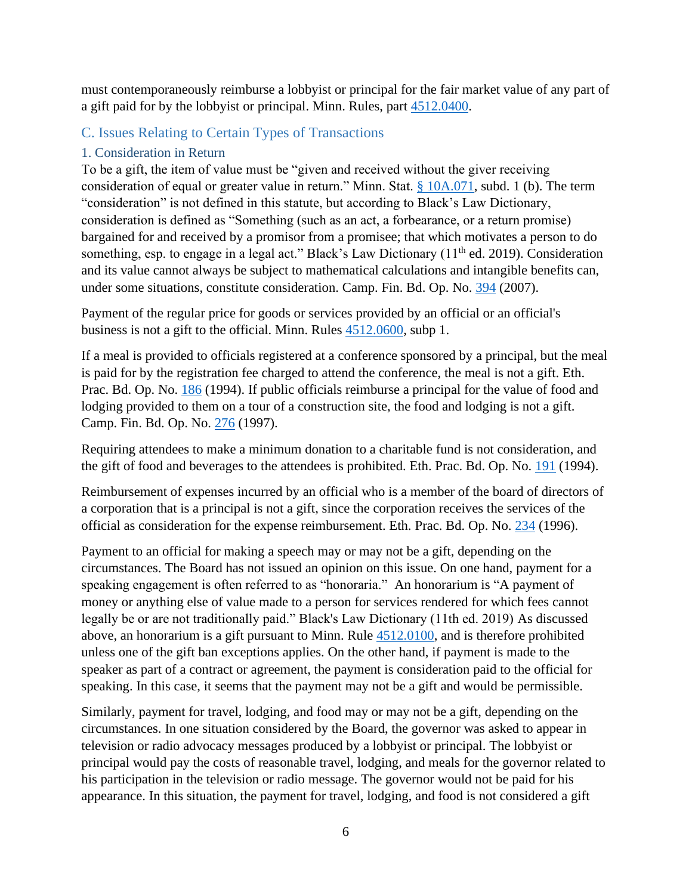must contemporaneously reimburse a lobbyist or principal for the fair market value of any part of a gift paid for by the lobbyist or principal. Minn. Rules, part [4512.0400.](https://www.revisor.mn.gov/rules/4512.0400/)

# <span id="page-8-0"></span>C. Issues Relating to Certain Types of Transactions

# <span id="page-8-1"></span>1. Consideration in Return

To be a gift, the item of value must be "given and received without the giver receiving consideration of equal or greater value in return." Minn. Stat. [§ 10A.071,](https://www.revisor.mn.gov/statutes/cite/10A.071) subd. 1 (b). The term "consideration" is not defined in this statute, but according to Black's Law Dictionary, consideration is defined as "Something (such as an act, a forbearance, or a return promise) bargained for and received by a promisor from a promisee; that which motivates a person to do something, esp. to engage in a legal act." Black's Law Dictionary (11<sup>th</sup> ed. 2019). Consideration and its value cannot always be subject to mathematical calculations and intangible benefits can, under some situations, constitute consideration. Camp. Fin. Bd. Op. No. [394](https://cfb.mn.gov/pdf/advisory_opinions/AO394.pdf?t=1599680921) (2007).

Payment of the regular price for goods or services provided by an official or an official's business is not a gift to the official. Minn. Rules [4512.0600,](https://www.revisor.mn.gov/rules/4512.0600/) subp 1.

If a meal is provided to officials registered at a conference sponsored by a principal, but the meal is paid for by the registration fee charged to attend the conference, the meal is not a gift. Eth. Prac. Bd. Op. No. [186](https://cfb.mn.gov/pdf/advisory_opinions/AO186.pdf?t=1599680947) (1994). If public officials reimburse a principal for the value of food and lodging provided to them on a tour of a construction site, the food and lodging is not a gift. Camp. Fin. Bd. Op. No. [276](https://cfb.mn.gov/pdf/advisory_opinions/AO276.pdf?t=1599680947) (1997).

Requiring attendees to make a minimum donation to a charitable fund is not consideration, and the gift of food and beverages to the attendees is prohibited. Eth. Prac. Bd. Op. No. [191](https://cfb.mn.gov/pdf/advisory_opinions/AO191.pdf?t=1599680947) (1994).

Reimbursement of expenses incurred by an official who is a member of the board of directors of a corporation that is a principal is not a gift, since the corporation receives the services of the official as consideration for the expense reimbursement. Eth. Prac. Bd. Op. No. [234](https://cfb.mn.gov/pdf/advisory_opinions/AO234.pdf?t=1599680947) (1996).

Payment to an official for making a speech may or may not be a gift, depending on the circumstances. The Board has not issued an opinion on this issue. On one hand, payment for a speaking engagement is often referred to as "honoraria." An honorarium is "A payment of money or anything else of value made to a person for services rendered for which fees cannot legally be or are not traditionally paid." Black's Law Dictionary (11th ed. 2019) As discussed above, an honorarium is a gift pursuant to Minn. Rule [4512.0100,](https://www.revisor.mn.gov/rules/4512.0100/) and is therefore prohibited unless one of the gift ban exceptions applies. On the other hand, if payment is made to the speaker as part of a contract or agreement, the payment is consideration paid to the official for speaking. In this case, it seems that the payment may not be a gift and would be permissible.

Similarly, payment for travel, lodging, and food may or may not be a gift, depending on the circumstances. In one situation considered by the Board, the governor was asked to appear in television or radio advocacy messages produced by a lobbyist or principal. The lobbyist or principal would pay the costs of reasonable travel, lodging, and meals for the governor related to his participation in the television or radio message. The governor would not be paid for his appearance. In this situation, the payment for travel, lodging, and food is not considered a gift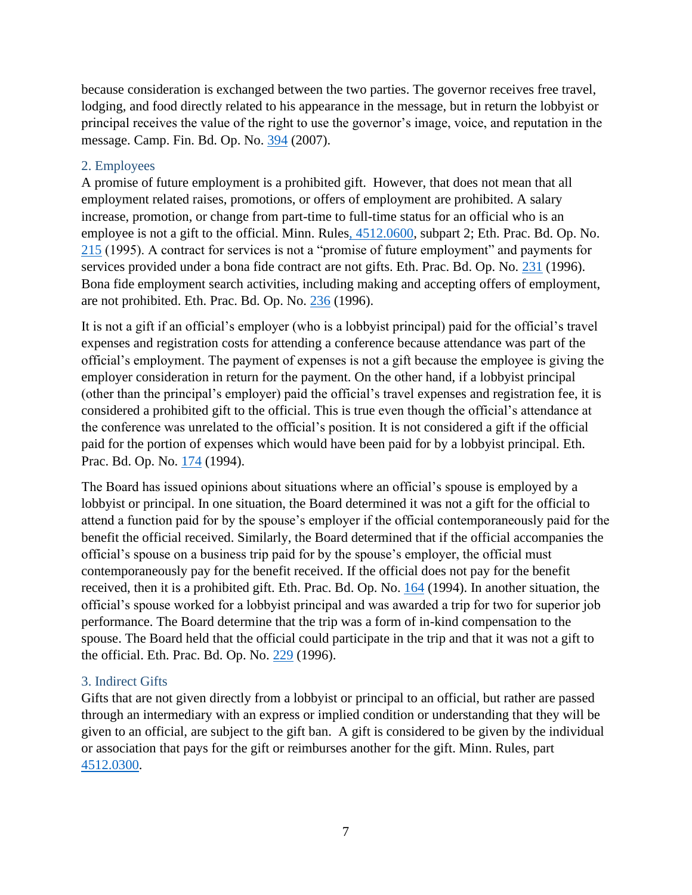because consideration is exchanged between the two parties. The governor receives free travel, lodging, and food directly related to his appearance in the message, but in return the lobbyist or principal receives the value of the right to use the governor's image, voice, and reputation in the message. Camp. Fin. Bd. Op. No. [394](https://cfb.mn.gov/pdf/advisory_opinions/AO394.pdf?t=1599680947) (2007).

#### <span id="page-9-0"></span>2. Employees

A promise of future employment is a prohibited gift. However, that does not mean that all employment related raises, promotions, or offers of employment are prohibited. A salary increase, promotion, or change from part-time to full-time status for an official who is an employee is not a gift to the official. Minn. Rule[s, 4512.0600,](https://www.revisor.mn.gov/rules/4512.0600/) subpart 2; Eth. Prac. Bd. Op. No. [215](https://cfb.mn.gov/pdf/advisory_opinions/AO215.pdf?t=1599680947) (1995). A contract for services is not a "promise of future employment" and payments for services provided under a bona fide contract are not gifts. Eth. Prac. Bd. Op. No. [231](https://cfb.mn.gov/pdf/advisory_opinions/AO231.pdf?t=1599680947) (1996). Bona fide employment search activities, including making and accepting offers of employment, are not prohibited. Eth. Prac. Bd. Op. No. [236](https://cfb.mn.gov/pdf/advisory_opinions/AO236.pdf?t=1599680947) (1996).

It is not a gift if an official's employer (who is a lobbyist principal) paid for the official's travel expenses and registration costs for attending a conference because attendance was part of the official's employment. The payment of expenses is not a gift because the employee is giving the employer consideration in return for the payment. On the other hand, if a lobbyist principal (other than the principal's employer) paid the official's travel expenses and registration fee, it is considered a prohibited gift to the official. This is true even though the official's attendance at the conference was unrelated to the official's position. It is not considered a gift if the official paid for the portion of expenses which would have been paid for by a lobbyist principal. Eth. Prac. Bd. Op. No. [174](https://cfb.mn.gov/pdf/advisory_opinions/AO174.pdf?t=1599680947) (1994).

The Board has issued opinions about situations where an official's spouse is employed by a lobbyist or principal. In one situation, the Board determined it was not a gift for the official to attend a function paid for by the spouse's employer if the official contemporaneously paid for the benefit the official received. Similarly, the Board determined that if the official accompanies the official's spouse on a business trip paid for by the spouse's employer, the official must contemporaneously pay for the benefit received. If the official does not pay for the benefit received, then it is a prohibited gift. Eth. Prac. Bd. Op. No. [164](https://cfb.mn.gov/pdf/advisory_opinions/AO164.pdf?t=1599680947) (1994). In another situation, the official's spouse worked for a lobbyist principal and was awarded a trip for two for superior job performance. The Board determine that the trip was a form of in-kind compensation to the spouse. The Board held that the official could participate in the trip and that it was not a gift to the official. Eth. Prac. Bd. Op. No. [229](https://cfb.mn.gov/pdf/advisory_opinions/AO229.pdf?t=1599680947) (1996).

#### <span id="page-9-1"></span>3. Indirect Gifts

Gifts that are not given directly from a lobbyist or principal to an official, but rather are passed through an intermediary with an express or implied condition or understanding that they will be given to an official, are subject to the gift ban. A gift is considered to be given by the individual or association that pays for the gift or reimburses another for the gift. Minn. Rules, part [4512.0300.](https://www.revisor.mn.gov/rules/4512.0300/)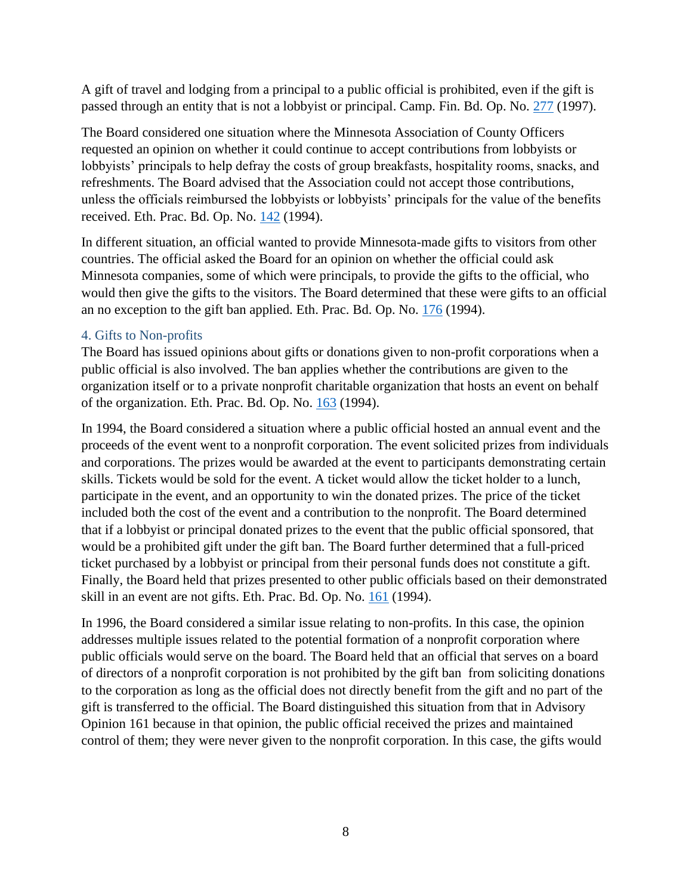A gift of travel and lodging from a principal to a public official is prohibited, even if the gift is passed through an entity that is not a lobbyist or principal. Camp. Fin. Bd. Op. No. [277](https://cfb.mn.gov/pdf/advisory_opinions/AO277.pdf?t=1599680947) (1997).

The Board considered one situation where the Minnesota Association of County Officers requested an opinion on whether it could continue to accept contributions from lobbyists or lobbyists' principals to help defray the costs of group breakfasts, hospitality rooms, snacks, and refreshments. The Board advised that the Association could not accept those contributions, unless the officials reimbursed the lobbyists or lobbyists' principals for the value of the benefits received. Eth. Prac. Bd. Op. No. [142](https://cfb.mn.gov/pdf/advisory_opinions/AO142.pdf?t=1599680947) (1994).

In different situation, an official wanted to provide Minnesota-made gifts to visitors from other countries. The official asked the Board for an opinion on whether the official could ask Minnesota companies, some of which were principals, to provide the gifts to the official, who would then give the gifts to the visitors. The Board determined that these were gifts to an official an no exception to the gift ban applied. Eth. Prac. Bd. Op. No. [176](https://cfb.mn.gov/pdf/advisory_opinions/AO176.pdf?t=1599680947) (1994).

#### <span id="page-10-0"></span>4. Gifts to Non-profits

The Board has issued opinions about gifts or donations given to non-profit corporations when a public official is also involved. The ban applies whether the contributions are given to the organization itself or to a private nonprofit charitable organization that hosts an event on behalf of the organization. Eth. Prac. Bd. Op. No.  $163$  (1994).

In 1994, the Board considered a situation where a public official hosted an annual event and the proceeds of the event went to a nonprofit corporation. The event solicited prizes from individuals and corporations. The prizes would be awarded at the event to participants demonstrating certain skills. Tickets would be sold for the event. A ticket would allow the ticket holder to a lunch, participate in the event, and an opportunity to win the donated prizes. The price of the ticket included both the cost of the event and a contribution to the nonprofit. The Board determined that if a lobbyist or principal donated prizes to the event that the public official sponsored, that would be a prohibited gift under the gift ban. The Board further determined that a full-priced ticket purchased by a lobbyist or principal from their personal funds does not constitute a gift. Finally, the Board held that prizes presented to other public officials based on their demonstrated skill in an event are not gifts. Eth. Prac. Bd. Op. No. [161](https://cfb.mn.gov/pdf/advisory_opinions/AO161.pdf?t=1597698766) (1994).

In 1996, the Board considered a similar issue relating to non-profits. In this case, the opinion addresses multiple issues related to the potential formation of a nonprofit corporation where public officials would serve on the board. The Board held that an official that serves on a board of directors of a nonprofit corporation is not prohibited by the gift ban from soliciting donations to the corporation as long as the official does not directly benefit from the gift and no part of the gift is transferred to the official. The Board distinguished this situation from that in Advisory Opinion 161 because in that opinion, the public official received the prizes and maintained control of them; they were never given to the nonprofit corporation. In this case, the gifts would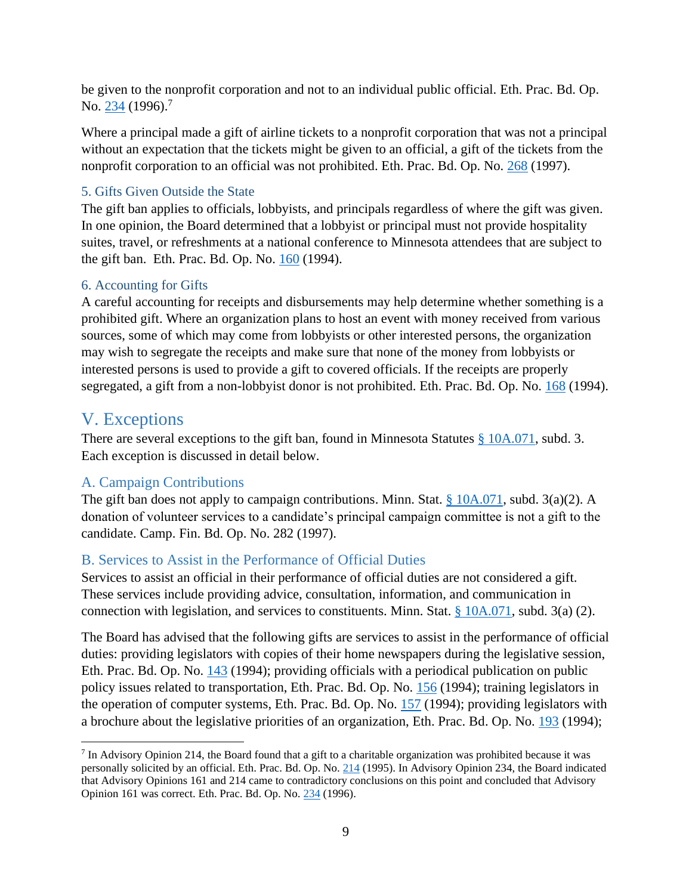be given to the nonprofit corporation and not to an individual public official. Eth. Prac. Bd. Op. No. [234](https://cfb.mn.gov/pdf/advisory_opinions/AO234.pdf?t=1597698791) (1996).<sup>7</sup>

Where a principal made a gift of airline tickets to a nonprofit corporation that was not a principal without an expectation that the tickets might be given to an official, a gift of the tickets from the nonprofit corporation to an official was not prohibited. Eth. Prac. Bd. Op. No. [268](https://cfb.mn.gov/pdf/advisory_opinions/AO268.pdf?t=1599680947) (1997).

#### <span id="page-11-0"></span>5. Gifts Given Outside the State

The gift ban applies to officials, lobbyists, and principals regardless of where the gift was given. In one opinion, the Board determined that a lobbyist or principal must not provide hospitality suites, travel, or refreshments at a national conference to Minnesota attendees that are subject to the gift ban. Eth. Prac. Bd. Op. No. [160](https://cfb.mn.gov/pdf/advisory_opinions/AO160.pdf?t=1599680947) (1994).

#### <span id="page-11-1"></span>6. Accounting for Gifts

A careful accounting for receipts and disbursements may help determine whether something is a prohibited gift. Where an organization plans to host an event with money received from various sources, some of which may come from lobbyists or other interested persons, the organization may wish to segregate the receipts and make sure that none of the money from lobbyists or interested persons is used to provide a gift to covered officials. If the receipts are properly segregated, a gift from a non-lobbyist donor is not prohibited. Eth. Prac. Bd. Op. No. [168](https://cfb.mn.gov/pdf/advisory_opinions/AO168.pdf?t=1599680947) (1994).

# <span id="page-11-2"></span>V. Exceptions

There are several exceptions to the gift ban, found in Minnesota Statutes  $\S$  [10A.071,](https://www.revisor.mn.gov/statutes/cite/10A.071) subd. 3. Each exception is discussed in detail below.

# <span id="page-11-3"></span>A. Campaign Contributions

The gift ban does not apply to campaign contributions. Minn. Stat. [§ 10A.071,](https://www.revisor.mn.gov/statutes/cite/10A.071) subd. 3(a)(2). A donation of volunteer services to a candidate's principal campaign committee is not a gift to the candidate. Camp. Fin. Bd. Op. No. 282 (1997).

# <span id="page-11-4"></span>B. Services to Assist in the Performance of Official Duties

Services to assist an official in their performance of official duties are not considered a gift. These services include providing advice, consultation, information, and communication in connection with legislation, and services to constituents. Minn. Stat. [§ 10A.071,](https://www.revisor.mn.gov/statutes/cite/10A.071) subd. 3(a) (2).

The Board has advised that the following gifts are services to assist in the performance of official duties: providing legislators with copies of their home newspapers during the legislative session, Eth. Prac. Bd. Op. No. [143](https://cfb.mn.gov/pdf/advisory_opinions/AO143.pdf?t=1599680947) (1994); providing officials with a periodical publication on public policy issues related to transportation, Eth. Prac. Bd. Op. No. [156](https://cfb.mn.gov/pdf/advisory_opinions/AO156.pdf?t=1599680947) (1994); training legislators in the operation of computer systems, Eth. Prac. Bd. Op. No. [157](https://cfb.mn.gov/pdf/advisory_opinions/AO157.pdf?t=1599680947) (1994); providing legislators with a brochure about the legislative priorities of an organization, Eth. Prac. Bd. Op. No. [193](https://cfb.mn.gov/pdf/advisory_opinions/AO193.pdf?t=1599680947) (1994);

 $7$  In Advisory Opinion 214, the Board found that a gift to a charitable organization was prohibited because it was personally solicited by an official. Eth. Prac. Bd. Op. No. [214](https://cfb.mn.gov/pdf/advisory_opinions/AO214.pdf?t=1603392413) (1995). In Advisory Opinion 234, the Board indicated that Advisory Opinions 161 and 214 came to contradictory conclusions on this point and concluded that Advisory Opinion 161 was correct. Eth. Prac. Bd. Op. No. [234](https://cfb.mn.gov/pdf/advisory_opinions/AO234.pdf?t=1597698791) (1996).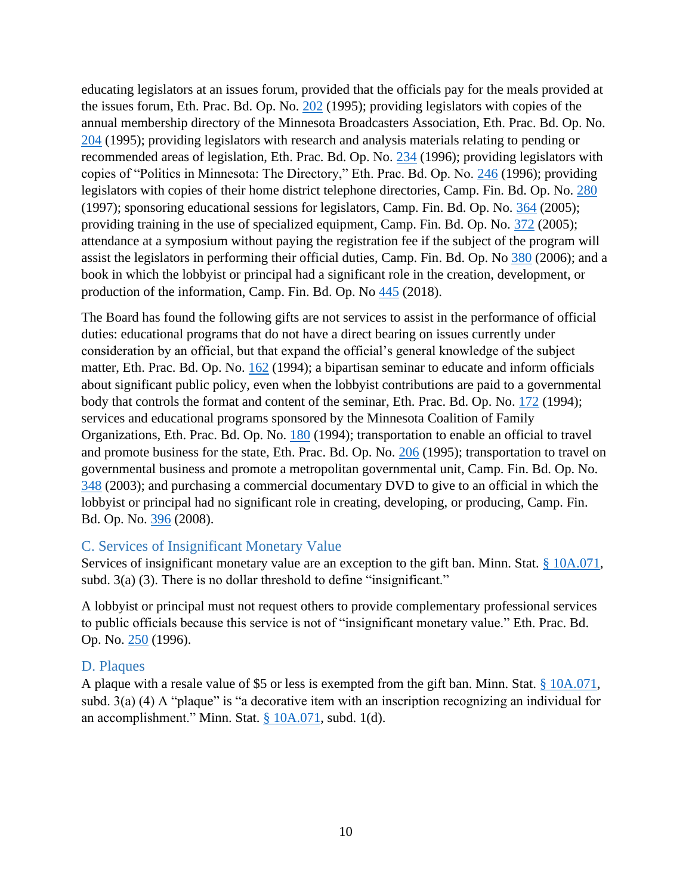educating legislators at an issues forum, provided that the officials pay for the meals provided at the issues forum, Eth. Prac. Bd. Op. No. [202](https://cfb.mn.gov/pdf/advisory_opinions/AO202.pdf?t=1599680947) (1995); providing legislators with copies of the annual membership directory of the Minnesota Broadcasters Association, Eth. Prac. Bd. Op. No. [204](https://cfb.mn.gov/pdf/advisory_opinions/AO204.pdf?t=1599680947) (1995); providing legislators with research and analysis materials relating to pending or recommended areas of legislation, Eth. Prac. Bd. Op. No. [234](https://cfb.mn.gov/pdf/advisory_opinions/AO234.pdf?t=1599680947) (1996); providing legislators with copies of "Politics in Minnesota: The Directory," Eth. Prac. Bd. Op. No. [246](https://cfb.mn.gov/pdf/advisory_opinions/AO246.pdf?t=1599680947) (1996); providing legislators with copies of their home district telephone directories, Camp. Fin. Bd. Op. No. [280](https://cfb.mn.gov/pdf/advisory_opinions/AO280.pdf?t=1599680947) (1997); sponsoring educational sessions for legislators, Camp. Fin. Bd. Op. No. [364](https://cfb.mn.gov/pdf/advisory_opinions/AO364.pdf?t=1599680947) (2005); providing training in the use of specialized equipment, Camp. Fin. Bd. Op. No. [372](https://cfb.mn.gov/pdf/advisory_opinions/AO372.pdf?t=1599680947) (2005); attendance at a symposium without paying the registration fee if the subject of the program will assist the legislators in performing their official duties, Camp. Fin. Bd. Op. No [380](https://cfb.mn.gov/pdf/advisory_opinions/AO380.pdf?t=1599680947) (2006); and a book in which the lobbyist or principal had a significant role in the creation, development, or production of the information, Camp. Fin. Bd. Op. No [445](https://cfb.mn.gov/pdf/advisory_opinions/AO445.pdf?t=1599680947) (2018).

The Board has found the following gifts are not services to assist in the performance of official duties: educational programs that do not have a direct bearing on issues currently under consideration by an official, but that expand the official's general knowledge of the subject matter, Eth. Prac. Bd. Op. No. [162](https://cfb.mn.gov/pdf/advisory_opinions/AO162.pdf?t=1599681944) (1994); a bipartisan seminar to educate and inform officials about significant public policy, even when the lobbyist contributions are paid to a governmental body that controls the format and content of the seminar, Eth. Prac. Bd. Op. No. [172](https://cfb.mn.gov/pdf/advisory_opinions/AO172.pdf?t=1599681944) (1994); services and educational programs sponsored by the Minnesota Coalition of Family Organizations, Eth. Prac. Bd. Op. No. [180](https://cfb.mn.gov/pdf/advisory_opinions/AO180.pdf?t=1599681944) (1994); transportation to enable an official to travel and promote business for the state, Eth. Prac. Bd. Op. No. [206](https://cfb.mn.gov/pdf/advisory_opinions/AO206.pdf?t=1599681944) (1995); transportation to travel on governmental business and promote a metropolitan governmental unit, Camp. Fin. Bd. Op. No. [348](https://cfb.mn.gov/pdf/advisory_opinions/AO348.pdf?t=1599681944) (2003); and purchasing a commercial documentary DVD to give to an official in which the lobbyist or principal had no significant role in creating, developing, or producing, Camp. Fin. Bd. Op. No. [396](https://cfb.mn.gov/pdf/advisory_opinions/AO396.pdf?t=1599681944) (2008).

#### <span id="page-12-0"></span>C. Services of Insignificant Monetary Value

Services of insignificant monetary value are an exception to the gift ban. Minn. Stat.  $\S$  10A.071, subd. 3(a) (3). There is no dollar threshold to define "insignificant."

A lobbyist or principal must not request others to provide complementary professional services to public officials because this service is not of "insignificant monetary value." Eth. Prac. Bd. Op. No. [250](https://cfb.mn.gov/pdf/advisory_opinions/AO250.pdf?t=1597697736) (1996).

#### <span id="page-12-1"></span>D. Plaques

A plaque with a resale value of \$5 or less is exempted from the gift ban. Minn. Stat. [§ 10A.071,](https://www.revisor.mn.gov/statutes/cite/10A.071) subd.  $3(a)$  (4) A "plaque" is "a decorative item with an inscription recognizing an individual for an accomplishment." Minn. Stat. § [10A.071,](https://www.revisor.mn.gov/statutes/cite/10A.071) subd. 1(d).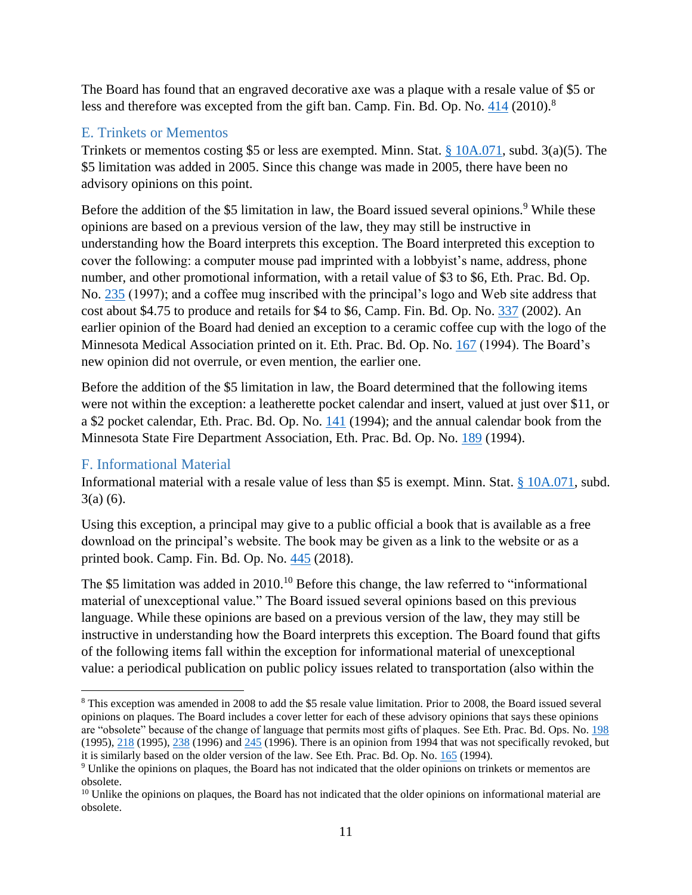The Board has found that an engraved decorative axe was a plaque with a resale value of \$5 or less and therefore was excepted from the gift ban. Camp. Fin. Bd. Op. No. [414](https://cfb.mn.gov/pdf/advisory_opinions/AO414.pdf?t=1599681944) (2010).<sup>8</sup>

# <span id="page-13-0"></span>E. Trinkets or Mementos

Trinkets or mementos costing \$5 or less are exempted. Minn. Stat. [§ 10A.071,](https://www.revisor.mn.gov/statutes/cite/10A.071) subd. 3(a)(5). The \$5 limitation was added in 2005. Since this change was made in 2005, there have been no advisory opinions on this point.

Before the addition of the \$5 limitation in law, the Board issued several opinions.<sup>9</sup> While these opinions are based on a previous version of the law, they may still be instructive in understanding how the Board interprets this exception. The Board interpreted this exception to cover the following: a computer mouse pad imprinted with a lobbyist's name, address, phone number, and other promotional information, with a retail value of \$3 to \$6, Eth. Prac. Bd. Op. No. [235](https://cfb.mn.gov/pdf/advisory_opinions/AO235.pdf?t=1599681944) (1997); and a coffee mug inscribed with the principal's logo and Web site address that cost about \$4.75 to produce and retails for \$4 to \$6, Camp. Fin. Bd. Op. No. [337](https://cfb.mn.gov/pdf/advisory_opinions/AO337.pdf?t=1599681944) (2002). An earlier opinion of the Board had denied an exception to a ceramic coffee cup with the logo of the Minnesota Medical Association printed on it. Eth. Prac. Bd. Op. No. [167](https://cfb.mn.gov/pdf/advisory_opinions/AO167.pdf?t=1599681944) (1994). The Board's new opinion did not overrule, or even mention, the earlier one.

Before the addition of the \$5 limitation in law, the Board determined that the following items were not within the exception: a leatherette pocket calendar and insert, valued at just over \$11, or a \$2 pocket calendar, Eth. Prac. Bd. Op. No. [141](https://cfb.mn.gov/pdf/advisory_opinions/AO141.pdf?t=1599681944) (1994); and the annual calendar book from the Minnesota State Fire Department Association, Eth. Prac. Bd. Op. No. [189](https://cfb.mn.gov/pdf/advisory_opinions/AO189.pdf?t=1599681944) (1994).

# <span id="page-13-1"></span>F. Informational Material

Informational material with a resale value of less than \$5 is exempt. Minn. Stat. [§ 10A.071,](https://www.revisor.mn.gov/statutes/cite/10A.071) subd. 3(a) (6).

Using this exception, a principal may give to a public official a book that is available as a free download on the principal's website. The book may be given as a link to the website or as a printed book. Camp. Fin. Bd. Op. No. [445](https://cfb.mn.gov/pdf/advisory_opinions/AO445.pdf?t=1599681944) (2018).

The \$5 limitation was added in  $2010$ .<sup>10</sup> Before this change, the law referred to "informational" material of unexceptional value." The Board issued several opinions based on this previous language. While these opinions are based on a previous version of the law, they may still be instructive in understanding how the Board interprets this exception. The Board found that gifts of the following items fall within the exception for informational material of unexceptional value: a periodical publication on public policy issues related to transportation (also within the

<sup>8</sup> This exception was amended in 2008 to add the \$5 resale value limitation. Prior to 2008, the Board issued several opinions on plaques. The Board includes a cover letter for each of these advisory opinions that says these opinions are "obsolete" because of the change of language that permits most gifts of plaques. See Eth. Prac. Bd. Ops. No[. 198](https://cfb.mn.gov/pdf/advisory_opinions/AO198.pdf?t=1602691830) (1995)[, 218](https://cfb.mn.gov/pdf/advisory_opinions/AO218.pdf?t=1602691830) (1995), [238](https://cfb.mn.gov/pdf/advisory_opinions/AO238.pdf?t=1602691830) (1996) and [245](https://cfb.mn.gov/pdf/advisory_opinions/AO245.pdf?t=1602691830) (1996). There is an opinion from 1994 that was not specifically revoked, but it is similarly based on the older version of the law. See Eth. Prac. Bd. Op. No[. 165](https://cfb.mn.gov/pdf/advisory_opinions/AO165.pdf?t=1602691825) (1994).

<sup>9</sup> Unlike the opinions on plaques, the Board has not indicated that the older opinions on trinkets or mementos are obsolete.

 $10$  Unlike the opinions on plaques, the Board has not indicated that the older opinions on informational material are obsolete.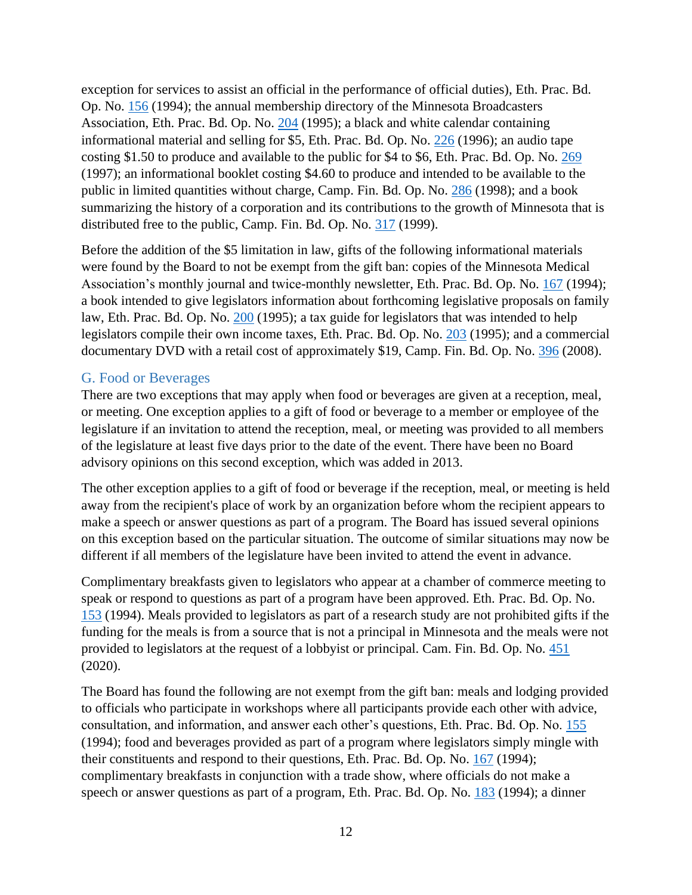exception for services to assist an official in the performance of official duties), Eth. Prac. Bd. Op. No. [156](https://cfb.mn.gov/pdf/advisory_opinions/AO156.pdf?t=1599681944) (1994); the annual membership directory of the Minnesota Broadcasters Association, Eth. Prac. Bd. Op. No. [204](https://cfb.mn.gov/pdf/advisory_opinions/AO204.pdf?t=1599681944) (1995); a black and white calendar containing informational material and selling for \$5, Eth. Prac. Bd. Op. No. [226](https://cfb.mn.gov/pdf/advisory_opinions/AO226.pdf?t=1599681944) (1996); an audio tape costing \$1.50 to produce and available to the public for \$4 to \$6, Eth. Prac. Bd. Op. No. [269](https://cfb.mn.gov/pdf/advisory_opinions/AO269.pdf?t=1599681944) (1997); an informational booklet costing \$4.60 to produce and intended to be available to the public in limited quantities without charge, Camp. Fin. Bd. Op. No. [286](https://cfb.mn.gov/pdf/advisory_opinions/AO286.pdf?t=1599681944) (1998); and a book summarizing the history of a corporation and its contributions to the growth of Minnesota that is distributed free to the public, Camp. Fin. Bd. Op. No. [317](https://cfb.mn.gov/pdf/advisory_opinions/AO317.pdf?t=1599681944) (1999).

Before the addition of the \$5 limitation in law, gifts of the following informational materials were found by the Board to not be exempt from the gift ban: copies of the Minnesota Medical Association's monthly journal and twice-monthly newsletter, Eth. Prac. Bd. Op. No. [167](https://cfb.mn.gov/pdf/advisory_opinions/AO167.pdf?t=1599681944) (1994); a book intended to give legislators information about forthcoming legislative proposals on family law, Eth. Prac. Bd. Op. No. [200](https://cfb.mn.gov/pdf/advisory_opinions/AO200.pdf?t=1599681944) (1995); a tax guide for legislators that was intended to help legislators compile their own income taxes, Eth. Prac. Bd. Op. No. [203](https://cfb.mn.gov/pdf/advisory_opinions/AO203.pdf?t=1599681944) (1995); and a commercial documentary DVD with a retail cost of approximately \$19, Camp. Fin. Bd. Op. No. [396](https://cfb.mn.gov/pdf/advisory_opinions/AO396.pdf?t=1599681944) (2008).

#### <span id="page-14-0"></span>G. Food or Beverages

There are two exceptions that may apply when food or beverages are given at a reception, meal, or meeting. One exception applies to a gift of food or beverage to a member or employee of the legislature if an invitation to attend the reception, meal, or meeting was provided to all members of the legislature at least five days prior to the date of the event. There have been no Board advisory opinions on this second exception, which was added in 2013.

The other exception applies to a gift of food or beverage if the reception, meal, or meeting is held away from the recipient's place of work by an organization before whom the recipient appears to make a speech or answer questions as part of a program. The Board has issued several opinions on this exception based on the particular situation. The outcome of similar situations may now be different if all members of the legislature have been invited to attend the event in advance.

Complimentary breakfasts given to legislators who appear at a chamber of commerce meeting to speak or respond to questions as part of a program have been approved. Eth. Prac. Bd. Op. No. [153](https://cfb.mn.gov/pdf/advisory_opinions/AO153.pdf?t=1602691789) (1994). Meals provided to legislators as part of a research study are not prohibited gifts if the funding for the meals is from a source that is not a principal in Minnesota and the meals were not provided to legislators at the request of a lobbyist or principal. Cam. Fin. Bd. Op. No. [451](https://cfb.mn.gov/pdf/advisory_opinions/AO451.pdf?t=1599681944) (2020).

The Board has found the following are not exempt from the gift ban: meals and lodging provided to officials who participate in workshops where all participants provide each other with advice, consultation, and information, and answer each other's questions, Eth. Prac. Bd. Op. No. [155](https://cfb.mn.gov/pdf/advisory_opinions/AO155.pdf?t=1599681944) (1994); food and beverages provided as part of a program where legislators simply mingle with their constituents and respond to their questions, Eth. Prac. Bd. Op. No. [167](https://cfb.mn.gov/pdf/advisory_opinions/AO167.pdf?t=1599681944) (1994); complimentary breakfasts in conjunction with a trade show, where officials do not make a speech or answer questions as part of a program, Eth. Prac. Bd. Op. No. [183](https://cfb.mn.gov/pdf/advisory_opinions/AO183.pdf?t=1599681944) (1994); a dinner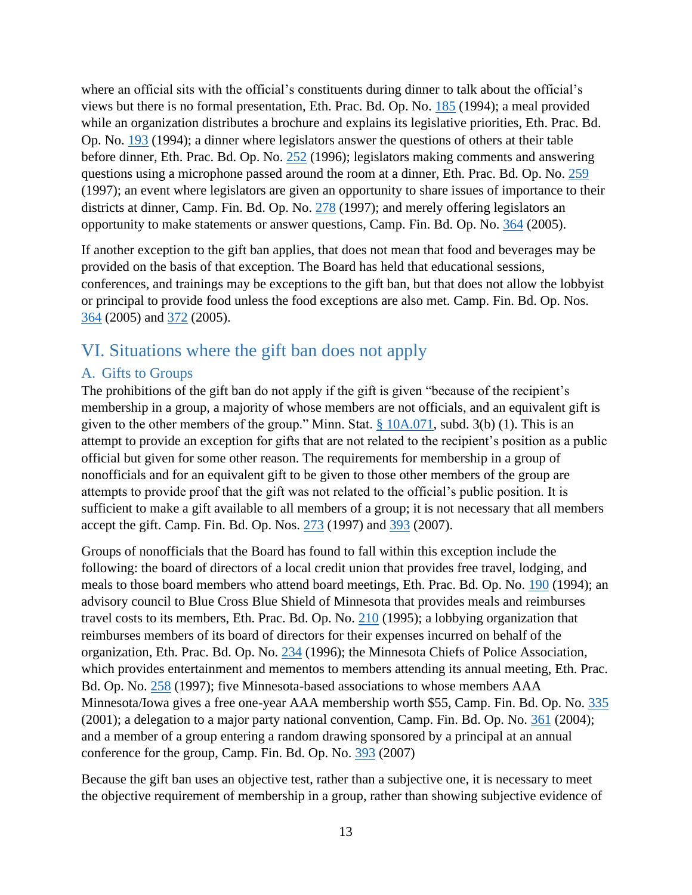where an official sits with the official's constituents during dinner to talk about the official's views but there is no formal presentation, Eth. Prac. Bd. Op. No. [185](https://cfb.mn.gov/pdf/advisory_opinions/AO185.pdf?t=1599681944) (1994); a meal provided while an organization distributes a brochure and explains its legislative priorities, Eth. Prac. Bd. Op. No. [193](https://cfb.mn.gov/pdf/advisory_opinions/AO193.pdf?t=1599681944) (1994); a dinner where legislators answer the questions of others at their table before dinner, Eth. Prac. Bd. Op. No. [252](https://cfb.mn.gov/pdf/advisory_opinions/AO252.pdf?t=1599681944) (1996); legislators making comments and answering questions using a microphone passed around the room at a dinner, Eth. Prac. Bd. Op. No. [259](https://cfb.mn.gov/pdf/advisory_opinions/AO259.pdf?t=1599681944) (1997); an event where legislators are given an opportunity to share issues of importance to their districts at dinner, Camp. Fin. Bd. Op. No. [278](https://cfb.mn.gov/pdf/advisory_opinions/AO278.pdf?t=1599681944) (1997); and merely offering legislators an opportunity to make statements or answer questions, Camp. Fin. Bd. Op. No. [364](https://cfb.mn.gov/pdf/advisory_opinions/AO364.pdf?t=1599681944) (2005).

If another exception to the gift ban applies, that does not mean that food and beverages may be provided on the basis of that exception. The Board has held that educational sessions, conferences, and trainings may be exceptions to the gift ban, but that does not allow the lobbyist or principal to provide food unless the food exceptions are also met. Camp. Fin. Bd. Op. Nos. [364](https://cfb.mn.gov/pdf/advisory_opinions/AO364.pdf?t=1599681944) (2005) and [372](https://cfb.mn.gov/pdf/advisory_opinions/AO372.pdf?t=1599681944) (2005).

# <span id="page-15-0"></span>VI. Situations where the gift ban does not apply

# <span id="page-15-1"></span>A. Gifts to Groups

The prohibitions of the gift ban do not apply if the gift is given "because of the recipient's membership in a group, a majority of whose members are not officials, and an equivalent gift is given to the other members of the group." Minn. Stat.  $\S$  10A.071, subd. 3(b) (1). This is an attempt to provide an exception for gifts that are not related to the recipient's position as a public official but given for some other reason. The requirements for membership in a group of nonofficials and for an equivalent gift to be given to those other members of the group are attempts to provide proof that the gift was not related to the official's public position. It is sufficient to make a gift available to all members of a group; it is not necessary that all members accept the gift. Camp. Fin. Bd. Op. Nos. [273](https://cfb.mn.gov/pdf/advisory_opinions/AO273.pdf?t=1599681944) (1997) and [393](https://cfb.mn.gov/pdf/advisory_opinions/AO393.pdf?t=1599681944) (2007).

Groups of nonofficials that the Board has found to fall within this exception include the following: the board of directors of a local credit union that provides free travel, lodging, and meals to those board members who attend board meetings, Eth. Prac. Bd. Op. No. [190](https://cfb.mn.gov/pdf/advisory_opinions/AO190.pdf?t=1599681944) (1994); an advisory council to Blue Cross Blue Shield of Minnesota that provides meals and reimburses travel costs to its members, Eth. Prac. Bd. Op. No. [210](https://cfb.mn.gov/pdf/advisory_opinions/AO210.pdf?t=1599681944) (1995); a lobbying organization that reimburses members of its board of directors for their expenses incurred on behalf of the organization, Eth. Prac. Bd. Op. No. [234](https://cfb.mn.gov/pdf/advisory_opinions/AO234.pdf?t=1599684252) (1996); the Minnesota Chiefs of Police Association, which provides entertainment and mementos to members attending its annual meeting, Eth. Prac. Bd. Op. No. [258](https://cfb.mn.gov/pdf/advisory_opinions/AO258.pdf?t=1599684288) (1997); five Minnesota-based associations to whose members AAA Minnesota/Iowa gives a free one-year AAA membership worth \$55, Camp. Fin. Bd. Op. No. [335](https://cfb.mn.gov/pdf/advisory_opinions/AO335.pdf?t=1599684288)  $(2001)$ ; a delegation to a major party national convention, Camp. Fin. Bd. Op. No.  $361$   $(2004)$ ; and a member of a group entering a random drawing sponsored by a principal at an annual conference for the group, Camp. Fin. Bd. Op. No. [393](https://cfb.mn.gov/pdf/advisory_opinions/AO393.pdf?t=1599684288) (2007)

Because the gift ban uses an objective test, rather than a subjective one, it is necessary to meet the objective requirement of membership in a group, rather than showing subjective evidence of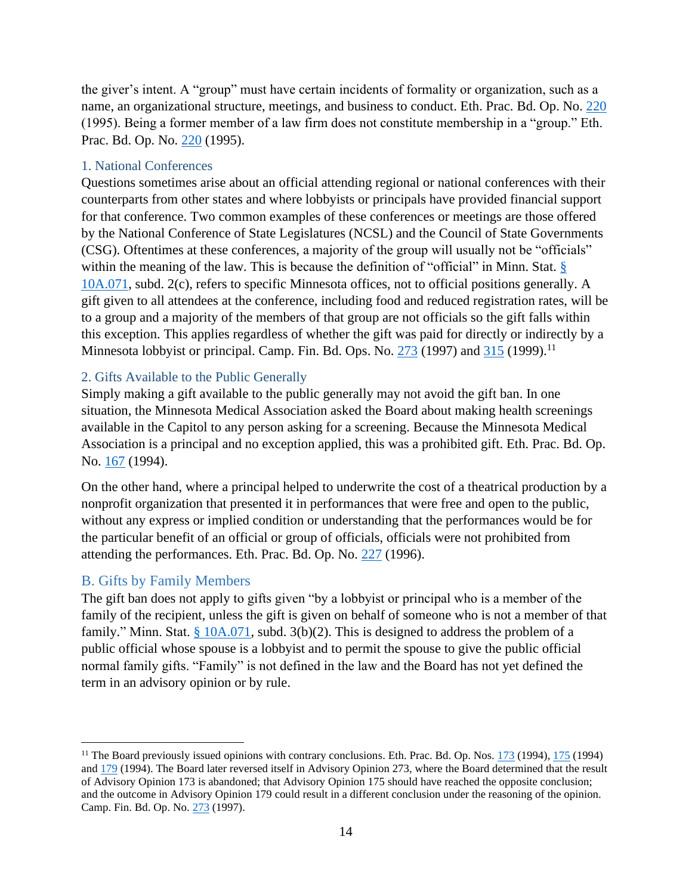the giver's intent. A "group" must have certain incidents of formality or organization, such as a name, an organizational structure, meetings, and business to conduct. Eth. Prac. Bd. Op. No. [220](https://cfb.mn.gov/pdf/advisory_opinions/AO220.pdf?t=1599684288) (1995). Being a former member of a law firm does not constitute membership in a "group." Eth. Prac. Bd. Op. No. [220](https://cfb.mn.gov/pdf/advisory_opinions/AO220.pdf?t=1599684288) (1995).

#### <span id="page-16-0"></span>1. National Conferences

Questions sometimes arise about an official attending regional or national conferences with their counterparts from other states and where lobbyists or principals have provided financial support for that conference. Two common examples of these conferences or meetings are those offered by the National Conference of State Legislatures (NCSL) and the Council of State Governments (CSG). Oftentimes at these conferences, a majority of the group will usually not be "officials" within the meaning of the law. This is because the definition of "official" in Minn. Stat. § [10A.071,](https://www.revisor.mn.gov/statutes/cite/10A.071) subd. 2(c), refers to specific Minnesota offices, not to official positions generally. A gift given to all attendees at the conference, including food and reduced registration rates, will be to a group and a majority of the members of that group are not officials so the gift falls within this exception. This applies regardless of whether the gift was paid for directly or indirectly by a Minnesota lobbyist or principal. Camp. Fin. Bd. Ops. No. [273](https://cfb.mn.gov/pdf/advisory_opinions/AO273.pdf?t=1599684288) (1997) and [315](https://cfb.mn.gov/pdf/advisory_opinions/AO315.pdf?t=1599684288) (1999).<sup>11</sup>

#### <span id="page-16-1"></span>2. Gifts Available to the Public Generally

Simply making a gift available to the public generally may not avoid the gift ban. In one situation, the Minnesota Medical Association asked the Board about making health screenings available in the Capitol to any person asking for a screening. Because the Minnesota Medical Association is a principal and no exception applied, this was a prohibited gift. Eth. Prac. Bd. Op. No. [167](https://cfb.mn.gov/pdf/advisory_opinions/AO167.pdf?t=1599684288) (1994).

On the other hand, where a principal helped to underwrite the cost of a theatrical production by a nonprofit organization that presented it in performances that were free and open to the public, without any express or implied condition or understanding that the performances would be for the particular benefit of an official or group of officials, officials were not prohibited from attending the performances. Eth. Prac. Bd. Op. No. [227](https://cfb.mn.gov/pdf/advisory_opinions/AO227.pdf?t=1599684288) (1996).

#### <span id="page-16-2"></span>B. Gifts by Family Members

The gift ban does not apply to gifts given "by a lobbyist or principal who is a member of the family of the recipient, unless the gift is given on behalf of someone who is not a member of that family." Minn. Stat.  $\S$  10A.071, subd. 3(b)(2). This is designed to address the problem of a public official whose spouse is a lobbyist and to permit the spouse to give the public official normal family gifts. "Family" is not defined in the law and the Board has not yet defined the term in an advisory opinion or by rule.

<sup>&</sup>lt;sup>11</sup> The Board previously issued opinions with contrary conclusions. Eth. Prac. Bd. Op. Nos.  $\frac{173}{173}$  (1994),  $\frac{175}{175}$  (1994) and [179](https://cfb.mn.gov/pdf/advisory_opinions/AO179.pdf?t=1602698013) (1994). The Board later reversed itself in Advisory Opinion 273, where the Board determined that the result of Advisory Opinion 173 is abandoned; that Advisory Opinion 175 should have reached the opposite conclusion; and the outcome in Advisory Opinion 179 could result in a different conclusion under the reasoning of the opinion. Camp. Fin. Bd. Op. No. [273](https://cfb.mn.gov/pdf/advisory_opinions/AO273.pdf?t=1599684288) (1997).